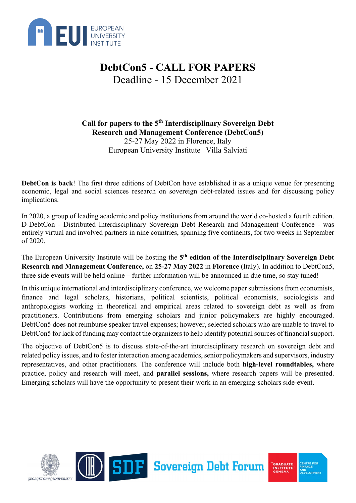

**Call for papers to the 5th Interdisciplinary Sovereign Debt Research and Management Conference (DebtCon5)** 25-27 May 2022 in Florence, Italy European University Institute | Villa Salviati

**DebtCon is back**! The first three editions of DebtCon have established it as a unique venue for presenting economic, legal and social sciences research on sovereign debt-related issues and for discussing policy implications.

In 2020, a group of leading academic and policy institutions from around the world co-hosted a fourth edition. D-DebtCon - Distributed Interdisciplinary Sovereign Debt Research and Management Conference - was entirely virtual and involved partners in nine countries, spanning five continents, for two weeks in September of 2020.

The European University Institute will be hosting the **5th edition of the Interdisciplinary Sovereign Debt Research and Management Conference,** on **25-27 May 2022** in **Florence** (Italy). In addition to DebtCon5, three side events will be held online – further information will be announced in due time, so stay tuned!

In this unique international and interdisciplinary conference, we welcome paper submissions from economists, finance and legal scholars, historians, political scientists, political economists, sociologists and anthropologists working in theoretical and empirical areas related to sovereign debt as well as from practitioners. Contributions from emerging scholars and junior policymakers are highly encouraged. DebtCon5 does not reimburse speaker travel expenses; however, selected scholars who are unable to travel to DebtCon5 for lack of funding may contact the organizers to help identify potential sources of financial support.

The objective of DebtCon5 is to discuss state-of-the-art interdisciplinary research on sovereign debt and related policy issues, and to foster interaction among academics, senior policymakers and supervisors, industry representatives, and other practitioners. The conference will include both **high-level roundtables,** where practice, policy and research will meet, and **parallel sessions,** where research papers will be presented. Emerging scholars will have the opportunity to present their work in an emerging-scholars side-event.

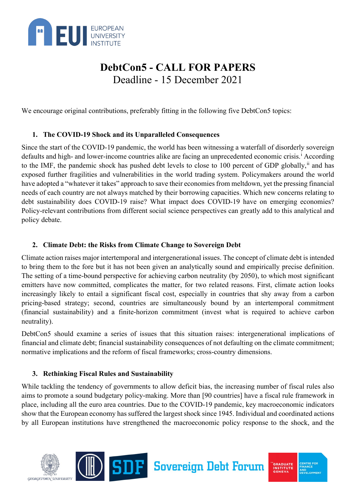

We encourage original contributions, preferably fitting in the following five DebtCon5 topics:

### **1. The COVID-19 Shock and its Unparalleled Consequences**

Since the start of the COVID-19 pandemic, the world has been witnessing a waterfall of disorderly sovereign defaults and h[i](#page-3-0)gh- and lower-income countries alike are facing an unprecedented economic crisis.<sup>1</sup> According to the IMF, the pandemic shock has pushed debt levels to close to 100 percent of GDP globally,<sup>[ii](#page-3-1)</sup> and has exposed further fragilities and vulnerabilities in the world trading system. Policymakers around the world have adopted a "whatever it takes" approach to save their economies from meltdown, yet the pressing financial needs of each country are not always matched by their borrowing capacities. Which new concerns relating to debt sustainability does COVID-19 raise? What impact does COVID-19 have on emerging economies? Policy-relevant contributions from different social science perspectives can greatly add to this analytical and policy debate.

### **2. Climate Debt: the Risks from Climate Change to Sovereign Debt**

Climate action raises major intertemporal and intergenerational issues. The concept of climate debt is intended to bring them to the fore but it has not been given an analytically sound and empirically precise definition. The setting of a time-bound perspective for achieving carbon neutrality (by 2050), to which most significant emitters have now committed, complicates the matter, for two related reasons. First, climate action looks increasingly likely to entail a significant fiscal cost, especially in countries that shy away from a carbon pricing-based strategy; second, countries are simultaneously bound by an intertemporal commitment (financial sustainability) and a finite-horizon commitment (invest what is required to achieve carbon neutrality).

DebtCon5 should examine a series of issues that this situation raises: intergenerational implications of financial and climate debt; financial sustainability consequences of not defaulting on the climate commitment; normative implications and the reform of fiscal frameworks; cross-country dimensions.

### **3. Rethinking Fiscal Rules and Sustainability**

While tackling the tendency of governments to allow deficit bias, the increasing number of fiscal rules also aims to promote a sound budgetary policy-making. More than [90 countries] have a fiscal rule framework in place, including all the euro area countries. Due to the COVID-19 pandemic, key macroeconomic indicators show that the European economy has suffered the largest shock since 1945. Individual and coordinated actions by all European institutions have strengthened the macroeconomic policy response to the shock, and the





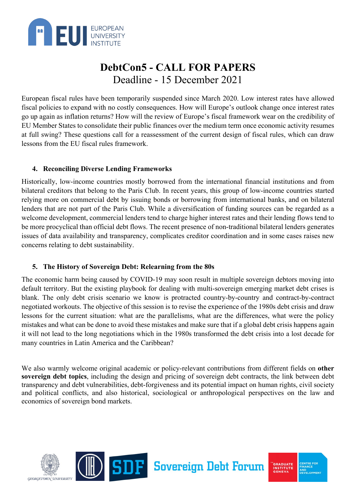

European fiscal rules have been temporarily suspended since March 2020. Low interest rates have allowed fiscal policies to expand with no costly consequences. How will Europe's outlook change once interest rates go up again as inflation returns? How will the review of Europe's fiscal framework wear on the credibility of EU Member States to consolidate their public finances over the medium term once economic activity resumes at full swing? These questions call for a reassessment of the current design of fiscal rules, which can draw lessons from the EU fiscal rules framework.

#### **4. Reconciling Diverse Lending Frameworks**

Historically, low-income countries mostly borrowed from the international financial institutions and from bilateral creditors that belong to the Paris Club. In recent years, this group of low-income countries started relying more on commercial debt by issuing bonds or borrowing from international banks, and on bilateral lenders that are not part of the Paris Club. While a diversification of funding sources can be regarded as a welcome development, commercial lenders tend to charge higher interest rates and their lending flows tend to be more procyclical than official debt flows. The recent presence of non-traditional bilateral lenders generates issues of data availability and transparency, complicates creditor coordination and in some cases raises new concerns relating to debt sustainability.

### **5. The History of Sovereign Debt: Relearning from the 80s**

The economic harm being caused by COVID-19 may soon result in multiple sovereign debtors moving into default territory. But the existing playbook for dealing with multi-sovereign emerging market debt crises is blank. The only debt crisis scenario we know is protracted country-by-country and contract-by-contract negotiated workouts. The objective of this session is to revise the experience of the 1980s debt crisis and draw lessons for the current situation: what are the parallelisms, what are the differences, what were the policy mistakes and what can be done to avoid these mistakes and make sure that if a global debt crisis happens again it will not lead to the long negotiations which in the 1980s transformed the debt crisis into a lost decade for many countries in Latin America and the Caribbean?

We also warmly welcome original academic or policy-relevant contributions from different fields on **other sovereign debt topics**, including the design and pricing of sovereign debt contracts, the link between debt transparency and debt vulnerabilities, debt-forgiveness and its potential impact on human rights, civil society and political conflicts, and also historical, sociological or anthropological perspectives on the law and economics of sovereign bond markets.